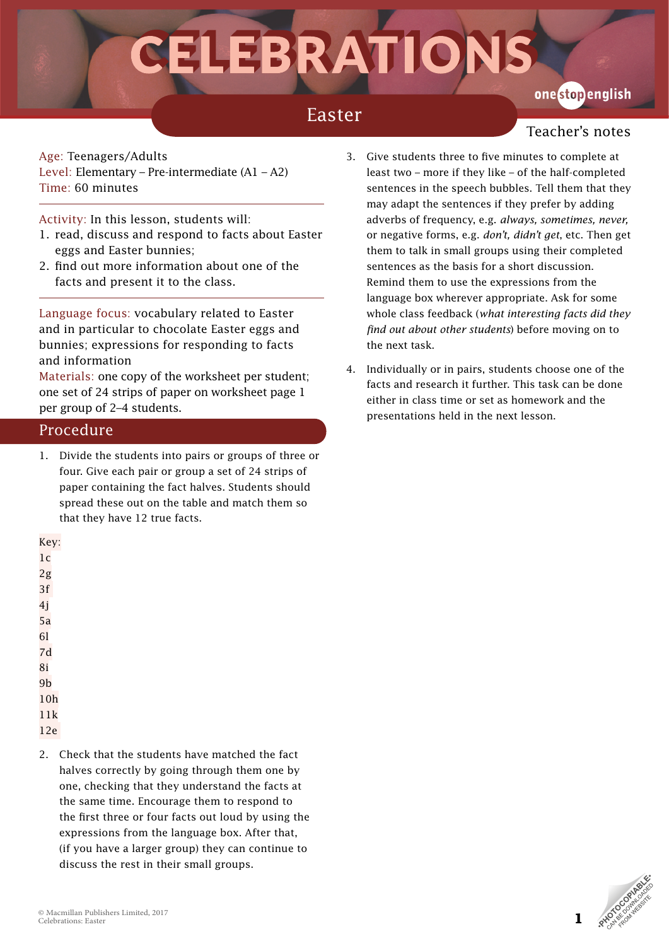# CELEBRATIO

## Easter

## one stopenglish

Teacher's notes

Age: Teenagers/Adults Level: Elementary – Pre-intermediate (A1 – A2) Time: 60 minutes

Activity: In this lesson, students will:

- 1. read, discuss and respond to facts about Easter eggs and Easter bunnies;
- 2. find out more information about one of the facts and present it to the class.

Language focus: vocabulary related to Easter and in particular to chocolate Easter eggs and bunnies; expressions for responding to facts and information

Materials: one copy of the worksheet per student; one set of 24 strips of paper on worksheet page 1 per group of 2–4 students.

#### Procedure

1. Divide the students into pairs or groups of three or four. Give each pair or group a set of 24 strips of paper containing the fact halves. Students should spread these out on the table and match them so that they have 12 true facts.

3. Give students three to five minutes to complete at least two – more if they like – of the half-completed sentences in the speech bubbles. Tell them that they may adapt the sentences if they prefer by adding adverbs of frequency, e.g. *always, sometimes, never,*  or negative forms, e.g. *don't, didn't get*, etc. Then get them to talk in small groups using their completed sentences as the basis for a short discussion. Remind them to use the expressions from the language box wherever appropriate. Ask for some whole class feedback (*what interesting facts did they find out about other students*) before moving on to the next task.

4. Individually or in pairs, students choose one of the facts and research it further. This task can be done either in class time or set as homework and the presentations held in the next lesson.

#### Key:

 $1<sub>c</sub>$  $2g$ 

3f

- 4j
- 5a
- 6l
- 7d
- 8i
- 9b
- 10h

11k

- 12e
- 2. Check that the students have matched the fact halves correctly by going through them one by one, checking that they understand the facts at the same time. Encourage them to respond to the first three or four facts out loud by using the expressions from the language box. After that, (if you have a larger group) they can continue to discuss the rest in their small groups.



**1**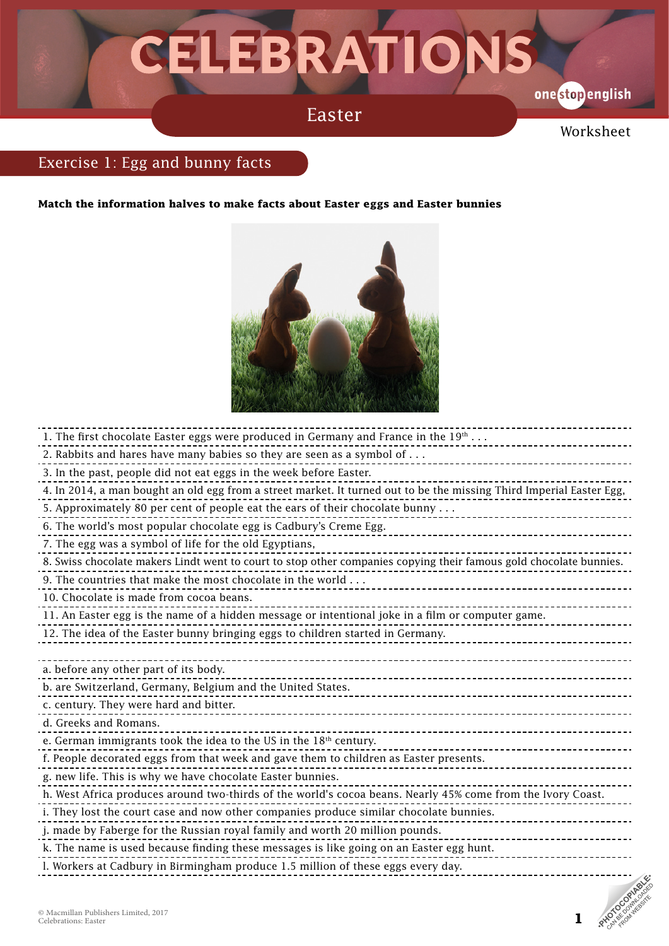## CELEBRATIONS

Easter

onestopenglish

Worksheet

### Exercise 1: Egg and bunny facts

**Match the information halves to make facts about Easter eggs and Easter bunnies**



| 1. The first chocolate Easter eggs were produced in Germany and France in the $19th$                                 |
|----------------------------------------------------------------------------------------------------------------------|
| 2. Rabbits and hares have many babies so they are seen as a symbol of                                                |
| 3. In the past, people did not eat eggs in the week before Easter.                                                   |
| 4. In 2014, a man bought an old egg from a street market. It turned out to be the missing Third Imperial Easter Egg, |
| 5. Approximately 80 per cent of people eat the ears of their chocolate bunny                                         |
| 6. The world's most popular chocolate egg is Cadbury's Creme Egg.                                                    |
| 7. The egg was a symbol of life for the old Egyptians,                                                               |
| 8. Swiss chocolate makers Lindt went to court to stop other companies copying their famous gold chocolate bunnies.   |
| 9. The countries that make the most chocolate in the world                                                           |
| 10. Chocolate is made from cocoa beans.                                                                              |
| 11. An Easter egg is the name of a hidden message or intentional joke in a film or computer game.                    |
| 12. The idea of the Easter bunny bringing eggs to children started in Germany.                                       |
|                                                                                                                      |
| a. before any other part of its body.                                                                                |
| b. are Switzerland, Germany, Belgium and the United States.                                                          |
| c. century. They were hard and bitter.                                                                               |
| d. Greeks and Romans.                                                                                                |
| e. German immigrants took the idea to the US in the 18th century.                                                    |
| f. People decorated eggs from that week and gave them to children as Easter presents.                                |
| g. new life. This is why we have chocolate Easter bunnies.                                                           |
| h. West Africa produces around two-thirds of the world's cocoa beans. Nearly 45% come from the Ivory Coast.          |
| i. They lost the court case and now other companies produce similar chocolate bunnies.                               |
| j. made by Faberge for the Russian royal family and worth 20 million pounds.                                         |
| k. The name is used because finding these messages is like going on an Easter egg hunt.                              |
| l. Workers at Cadbury in Birmingham produce 1.5 million of these eggs every day.                                     |

**1**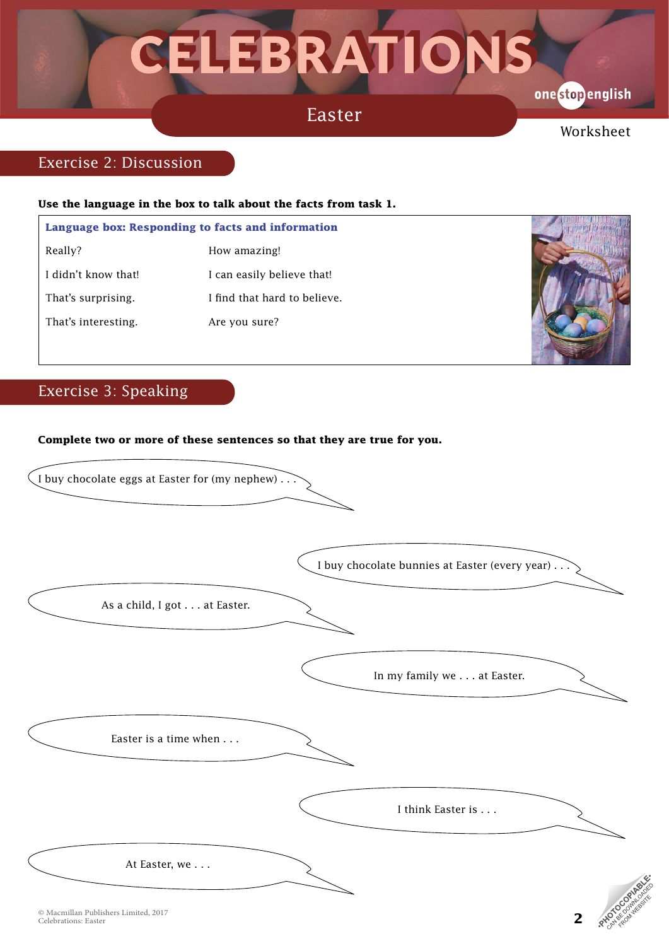## CELEBRATIONS

### Easter

onestopenglish

Worksheet

#### Exercise 2: Discussion

#### **Use the language in the box to talk about the facts from task 1.**

|                     | Language box: Responding to facts and information |  |  |  |
|---------------------|---------------------------------------------------|--|--|--|
| Really?             | How amazing!                                      |  |  |  |
| I didn't know that! | I can easily believe that!                        |  |  |  |
| That's surprising.  | I find that hard to believe.                      |  |  |  |
| That's interesting. | Are you sure?                                     |  |  |  |
|                     |                                                   |  |  |  |



**2**

### Exercise 3: Speaking

#### **Complete two or more of these sentences so that they are true for you.**